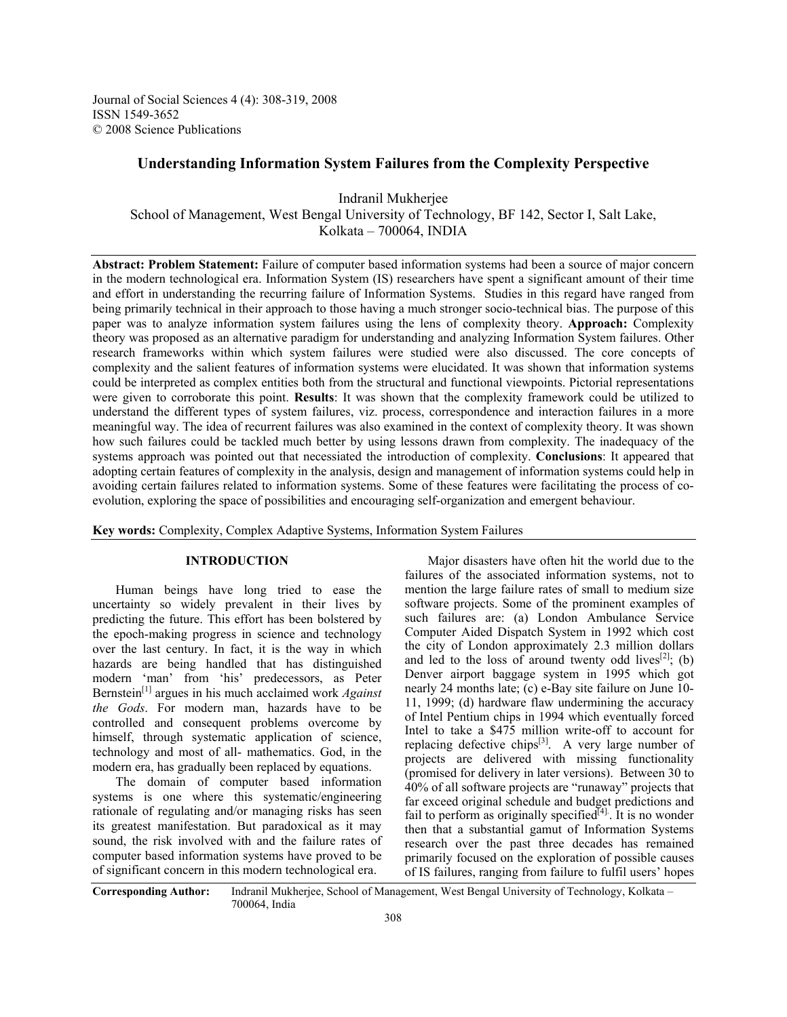Journal of Social Sciences 4 (4): 308-319, 2008 ISSN 1549-3652 © 2008 Science Publications

# **Understanding Information System Failures from the Complexity Perspective**

Indranil Mukherjee School of Management, West Bengal University of Technology, BF 142, Sector I, Salt Lake, Kolkata – 700064, INDIA

**Abstract: Problem Statement:** Failure of computer based information systems had been a source of major concern in the modern technological era. Information System (IS) researchers have spent a significant amount of their time and effort in understanding the recurring failure of Information Systems. Studies in this regard have ranged from being primarily technical in their approach to those having a much stronger socio-technical bias. The purpose of this paper was to analyze information system failures using the lens of complexity theory. **Approach:** Complexity theory was proposed as an alternative paradigm for understanding and analyzing Information System failures. Other research frameworks within which system failures were studied were also discussed. The core concepts of complexity and the salient features of information systems were elucidated. It was shown that information systems could be interpreted as complex entities both from the structural and functional viewpoints. Pictorial representations were given to corroborate this point. **Results**: It was shown that the complexity framework could be utilized to understand the different types of system failures, viz. process, correspondence and interaction failures in a more meaningful way. The idea of recurrent failures was also examined in the context of complexity theory. It was shown how such failures could be tackled much better by using lessons drawn from complexity. The inadequacy of the systems approach was pointed out that necessiated the introduction of complexity. **Conclusions**: It appeared that adopting certain features of complexity in the analysis, design and management of information systems could help in avoiding certain failures related to information systems. Some of these features were facilitating the process of coevolution, exploring the space of possibilities and encouraging self-organization and emergent behaviour.

**Key words:** Complexity, Complex Adaptive Systems, Information System Failures

## **INTRODUCTION**

 Human beings have long tried to ease the uncertainty so widely prevalent in their lives by predicting the future. This effort has been bolstered by the epoch-making progress in science and technology over the last century. In fact, it is the way in which hazards are being handled that has distinguished modern 'man' from 'his' predecessors, as Peter Bernstein[1] argues in his much acclaimed work *Against the Gods*. For modern man, hazards have to be controlled and consequent problems overcome by himself, through systematic application of science, technology and most of all- mathematics. God, in the modern era, has gradually been replaced by equations.

 The domain of computer based information systems is one where this systematic/engineering rationale of regulating and/or managing risks has seen its greatest manifestation. But paradoxical as it may sound, the risk involved with and the failure rates of computer based information systems have proved to be of significant concern in this modern technological era.

 Major disasters have often hit the world due to the failures of the associated information systems, not to mention the large failure rates of small to medium size software projects. Some of the prominent examples of such failures are: (a) London Ambulance Service Computer Aided Dispatch System in 1992 which cost the city of London approximately 2.3 million dollars and led to the loss of around twenty odd lives<sup>[2]</sup>; (b) Denver airport baggage system in 1995 which got nearly 24 months late; (c) e-Bay site failure on June 10- 11, 1999; (d) hardware flaw undermining the accuracy of Intel Pentium chips in 1994 which eventually forced Intel to take a \$475 million write-off to account for replacing defective chips $[3]$ . A very large number of projects are delivered with missing functionality (promised for delivery in later versions). Between 30 to 40% of all software projects are "runaway" projects that far exceed original schedule and budget predictions and fail to perform as originally specified<sup>[4]</sup>. It is no wonder then that a substantial gamut of Information Systems research over the past three decades has remained primarily focused on the exploration of possible causes of IS failures, ranging from failure to fulfil users' hopes

**Corresponding Author:** Indranil Mukherjee, School of Management, West Bengal University of Technology, Kolkata – 700064, India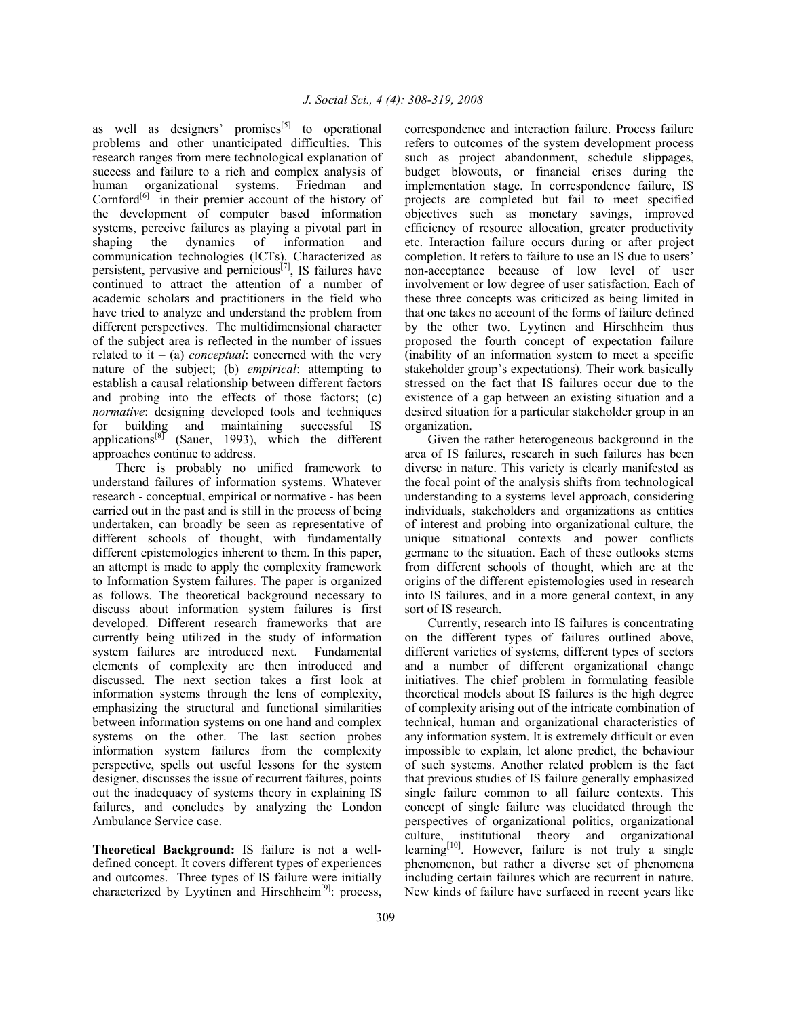as well as designers' promises<sup>[5]</sup> to operational problems and other unanticipated difficulties. This research ranges from mere technological explanation of success and failure to a rich and complex analysis of human organizational systems. Friedman and Cornford<sup>[6]</sup> in their premier account of the history of the development of computer based information systems, perceive failures as playing a pivotal part in shaping the dynamics of information and communication technologies (ICTs). Characterized as persistent, pervasive and pernicious<sup>[7]</sup>, IS failures have continued to attract the attention of a number of academic scholars and practitioners in the field who have tried to analyze and understand the problem from different perspectives. The multidimensional character of the subject area is reflected in the number of issues related to it  $-$  (a) *conceptual*: concerned with the very nature of the subject; (b) *empirical*: attempting to establish a causal relationship between different factors and probing into the effects of those factors; (c) *normative*: designing developed tools and techniques for building and maintaining successful IS applications<sup>[8]</sup> (Sauer, 1993), which the different approaches continue to address.

 There is probably no unified framework to understand failures of information systems. Whatever research - conceptual, empirical or normative - has been carried out in the past and is still in the process of being undertaken, can broadly be seen as representative of different schools of thought, with fundamentally different epistemologies inherent to them. In this paper, an attempt is made to apply the complexity framework to Information System failures. The paper is organized as follows. The theoretical background necessary to discuss about information system failures is first developed. Different research frameworks that are currently being utilized in the study of information system failures are introduced next. Fundamental elements of complexity are then introduced and discussed. The next section takes a first look at information systems through the lens of complexity, emphasizing the structural and functional similarities between information systems on one hand and complex systems on the other. The last section probes information system failures from the complexity perspective, spells out useful lessons for the system designer, discusses the issue of recurrent failures, points out the inadequacy of systems theory in explaining IS failures, and concludes by analyzing the London Ambulance Service case.

**Theoretical Background:** IS failure is not a welldefined concept. It covers different types of experiences and outcomes. Three types of IS failure were initially characterized by Lyytinen and Hirschheim $[9]$ : process, correspondence and interaction failure. Process failure refers to outcomes of the system development process such as project abandonment, schedule slippages, budget blowouts, or financial crises during the implementation stage. In correspondence failure, IS projects are completed but fail to meet specified objectives such as monetary savings, improved efficiency of resource allocation, greater productivity etc. Interaction failure occurs during or after project completion. It refers to failure to use an IS due to users' non-acceptance because of low level of user involvement or low degree of user satisfaction. Each of these three concepts was criticized as being limited in that one takes no account of the forms of failure defined by the other two. Lyytinen and Hirschheim thus proposed the fourth concept of expectation failure (inability of an information system to meet a specific stakeholder group's expectations). Their work basically stressed on the fact that IS failures occur due to the existence of a gap between an existing situation and a desired situation for a particular stakeholder group in an organization.

 Given the rather heterogeneous background in the area of IS failures, research in such failures has been diverse in nature. This variety is clearly manifested as the focal point of the analysis shifts from technological understanding to a systems level approach, considering individuals, stakeholders and organizations as entities of interest and probing into organizational culture, the unique situational contexts and power conflicts germane to the situation. Each of these outlooks stems from different schools of thought, which are at the origins of the different epistemologies used in research into IS failures, and in a more general context, in any sort of IS research.

 Currently, research into IS failures is concentrating on the different types of failures outlined above, different varieties of systems, different types of sectors and a number of different organizational change initiatives. The chief problem in formulating feasible theoretical models about IS failures is the high degree of complexity arising out of the intricate combination of technical, human and organizational characteristics of any information system. It is extremely difficult or even impossible to explain, let alone predict, the behaviour of such systems. Another related problem is the fact that previous studies of IS failure generally emphasized single failure common to all failure contexts. This concept of single failure was elucidated through the perspectives of organizational politics, organizational culture, institutional theory and organizational learning $[10]$ . However, failure is not truly a single phenomenon, but rather a diverse set of phenomena including certain failures which are recurrent in nature. New kinds of failure have surfaced in recent years like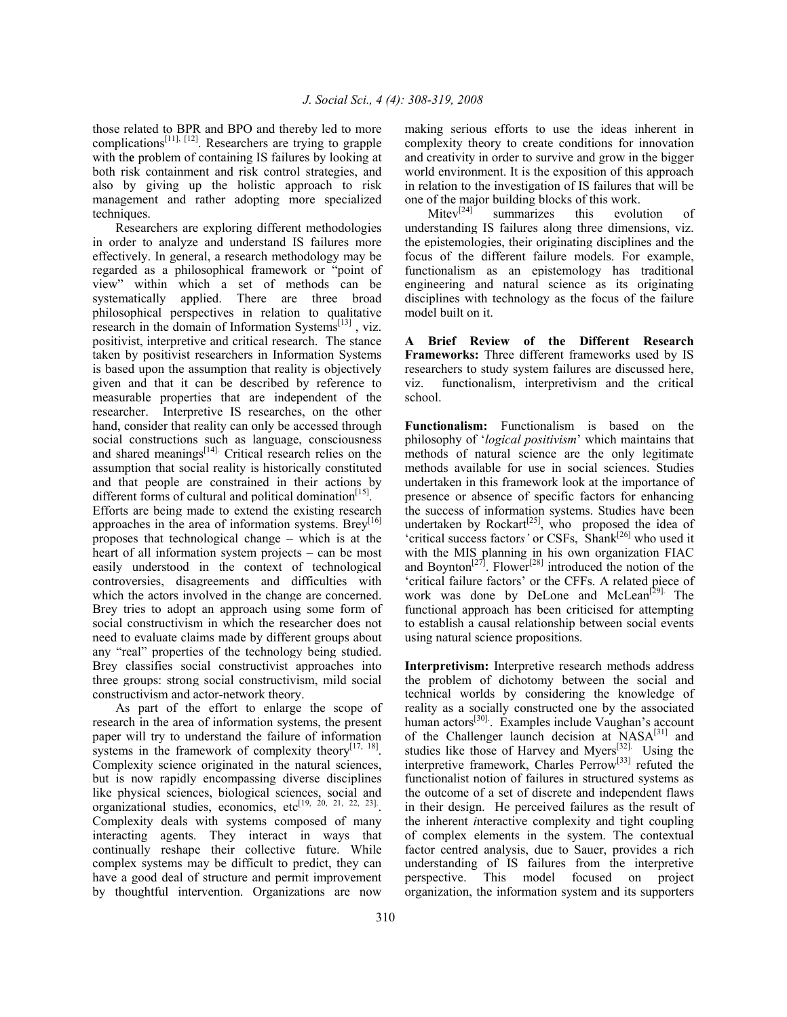those related to BPR and BPO and thereby led to more complications<sup>[11], [12]</sup>. Researchers are trying to grapple with the problem of containing IS failures by looking at both risk containment and risk control strategies, and also by giving up the holistic approach to risk management and rather adopting more specialized techniques.

 Researchers are exploring different methodologies in order to analyze and understand IS failures more effectively. In general, a research methodology may be regarded as a philosophical framework or "point of view" within which a set of methods can be systematically applied. There are three broad philosophical perspectives in relation to qualitative research in the domain of Information Systems<sup>[13]</sup>, viz. positivist, interpretive and critical research. The stance taken by positivist researchers in Information Systems is based upon the assumption that reality is objectively given and that it can be described by reference to measurable properties that are independent of the researcher. Interpretive IS researches, on the other hand, consider that reality can only be accessed through social constructions such as language, consciousness and shared meanings $[14]$ . Critical research relies on the assumption that social reality is historically constituted and that people are constrained in their actions by different forms of cultural and political domination<sup>[15]</sup>. Efforts are being made to extend the existing research approaches in the area of information systems. Brev<sup>[16]</sup> proposes that technological change – which is at the heart of all information system projects – can be most easily understood in the context of technological controversies, disagreements and difficulties with which the actors involved in the change are concerned. Brey tries to adopt an approach using some form of social constructivism in which the researcher does not need to evaluate claims made by different groups about any "real" properties of the technology being studied. Brey classifies social constructivist approaches into three groups: strong social constructivism, mild social constructivism and actor-network theory.

 As part of the effort to enlarge the scope of research in the area of information systems, the present paper will try to understand the failure of information systems in the framework of complexity theory $[17, 18]$ . Complexity science originated in the natural sciences, but is now rapidly encompassing diverse disciplines like physical sciences, biological sciences, social and organizational studies, economics, etc<sup>[19, 20, 21, 22, 23]</sup>. Complexity deals with systems composed of many interacting agents. They interact in ways that continually reshape their collective future. While complex systems may be difficult to predict, they can have a good deal of structure and permit improvement by thoughtful intervention. Organizations are now

making serious efforts to use the ideas inherent in complexity theory to create conditions for innovation and creativity in order to survive and grow in the bigger world environment. It is the exposition of this approach in relation to the investigation of IS failures that will be

one of the major building blocks of this work.<br>Mitev<sup>[24]</sup> summarizes this evolu summarizes this evolution of understanding IS failures along three dimensions, viz. the epistemologies, their originating disciplines and the focus of the different failure models. For example, functionalism as an epistemology has traditional engineering and natural science as its originating disciplines with technology as the focus of the failure model built on it.

**A Brief Review of the Different Research Frameworks:** Three different frameworks used by IS researchers to study system failures are discussed here, viz. functionalism, interpretivism and the critical school.

**Functionalism:** Functionalism is based on the philosophy of '*logical positivism*' which maintains that methods of natural science are the only legitimate methods available for use in social sciences. Studies undertaken in this framework look at the importance of presence or absence of specific factors for enhancing the success of information systems. Studies have been undertaken by Rockart<sup>[25]</sup>, who proposed the idea of 'critical success factor*s'* or CSFs, Shank[26] who used it with the MIS planning in his own organization FIAC and Boynton<sup> $[27]$ </sup>. Flower<sup> $[28]$ </sup> introduced the notion of the 'critical failure factors' or the CFFs. A related piece of work was done by DeLone and McLean<sup> $[29]$ </sup>. The functional approach has been criticised for attempting to establish a causal relationship between social events using natural science propositions.

**Interpretivism:** Interpretive research methods address the problem of dichotomy between the social and technical worlds by considering the knowledge of reality as a socially constructed one by the associated human  $\arccos^{[30]}$ . Examples include Vaughan's account of the Challenger launch decision at  $NASA^{[31]}$  and studies like those of Harvey and Myers $[32]$ . Using the interpretive framework, Charles Perrow<sup>[33]</sup> refuted the functionalist notion of failures in structured systems as the outcome of a set of discrete and independent flaws in their design. He perceived failures as the result of the inherent *i*nteractive complexity and tight coupling of complex elements in the system. The contextual factor centred analysis, due to Sauer, provides a rich understanding of IS failures from the interpretive perspective. This model focused on project organization, the information system and its supporters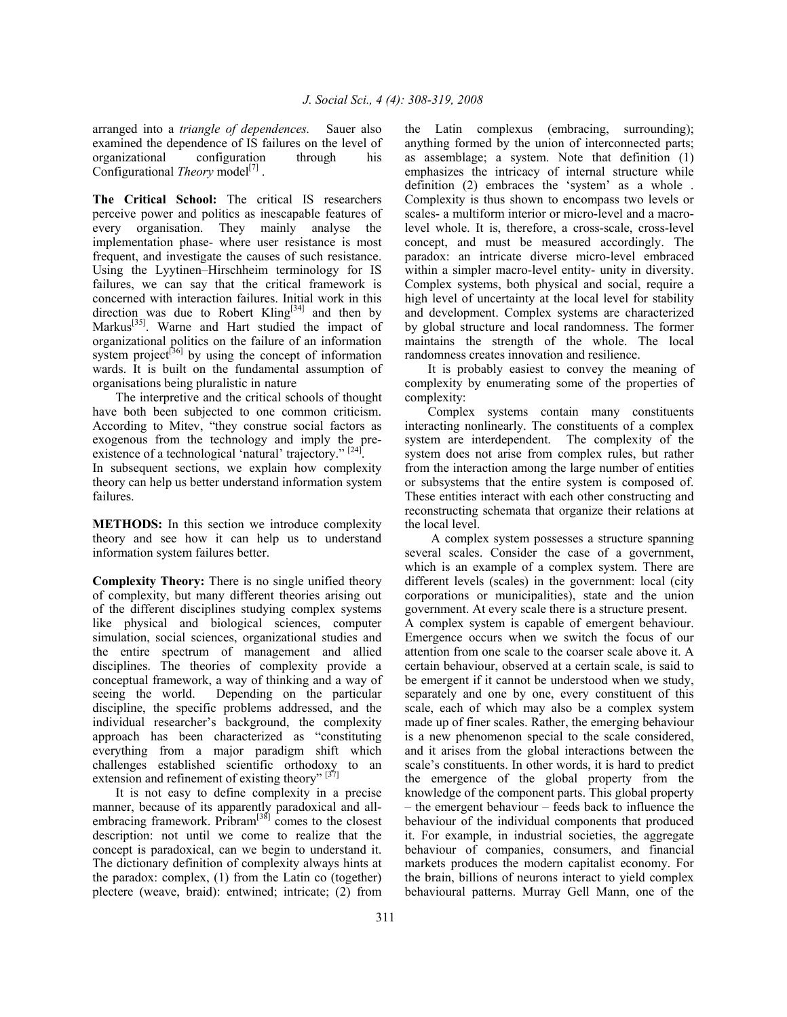arranged into a *triangle of dependences.* Sauer also examined the dependence of IS failures on the level of organizational configuration through his Configurational *Theory* model<sup>[7]</sup>.

**The Critical School:** The critical IS researchers perceive power and politics as inescapable features of every organisation. They mainly analyse the implementation phase- where user resistance is most frequent, and investigate the causes of such resistance. Using the Lyytinen–Hirschheim terminology for IS failures, we can say that the critical framework is concerned with interaction failures. Initial work in this direction was due to Robert Kling<sup>[34]</sup> and then by Markus<sup>[35]</sup>. Warne and Hart studied the impact of organizational politics on the failure of an information system project<sup>[36]</sup> by using the concept of information wards. It is built on the fundamental assumption of organisations being pluralistic in nature

 The interpretive and the critical schools of thought have both been subjected to one common criticism. According to Mitev, "they construe social factors as exogenous from the technology and imply the preexistence of a technological 'natural' trajectory." [24].

In subsequent sections, we explain how complexity theory can help us better understand information system failures.

**METHODS:** In this section we introduce complexity theory and see how it can help us to understand information system failures better.

**Complexity Theory:** There is no single unified theory of complexity, but many different theories arising out of the different disciplines studying complex systems like physical and biological sciences, computer simulation, social sciences, organizational studies and the entire spectrum of management and allied disciplines. The theories of complexity provide a conceptual framework, a way of thinking and a way of seeing the world. Depending on the particular discipline, the specific problems addressed, and the individual researcher's background, the complexity approach has been characterized as "constituting everything from a major paradigm shift which challenges established scientific orthodoxy to an extension and refinement of existing theory"  $[37]$ 

 It is not easy to define complexity in a precise manner, because of its apparently paradoxical and allembracing framework. Pribram $[38]$  comes to the closest description: not until we come to realize that the concept is paradoxical, can we begin to understand it. The dictionary definition of complexity always hints at the paradox: complex, (1) from the Latin co (together) plectere (weave, braid): entwined; intricate; (2) from

the Latin complexus (embracing, surrounding); anything formed by the union of interconnected parts; as assemblage; a system. Note that definition (1) emphasizes the intricacy of internal structure while definition (2) embraces the 'system' as a whole . Complexity is thus shown to encompass two levels or scales- a multiform interior or micro-level and a macrolevel whole. It is, therefore, a cross-scale, cross-level concept, and must be measured accordingly. The paradox: an intricate diverse micro-level embraced within a simpler macro-level entity- unity in diversity. Complex systems, both physical and social, require a high level of uncertainty at the local level for stability and development. Complex systems are characterized by global structure and local randomness. The former maintains the strength of the whole. The local randomness creates innovation and resilience.

 It is probably easiest to convey the meaning of complexity by enumerating some of the properties of complexity:

Complex systems contain many constituents interacting nonlinearly. The constituents of a complex system are interdependent. The complexity of the system does not arise from complex rules, but rather from the interaction among the large number of entities or subsystems that the entire system is composed of. These entities interact with each other constructing and reconstructing schemata that organize their relations at the local level.

 A complex system possesses a structure spanning several scales. Consider the case of a government, which is an example of a complex system. There are different levels (scales) in the government: local (city corporations or municipalities), state and the union government. At every scale there is a structure present. A complex system is capable of emergent behaviour. Emergence occurs when we switch the focus of our attention from one scale to the coarser scale above it. A certain behaviour, observed at a certain scale, is said to be emergent if it cannot be understood when we study, separately and one by one, every constituent of this scale, each of which may also be a complex system made up of finer scales. Rather, the emerging behaviour is a new phenomenon special to the scale considered, and it arises from the global interactions between the scale's constituents. In other words, it is hard to predict the emergence of the global property from the knowledge of the component parts. This global property – the emergent behaviour – feeds back to influence the behaviour of the individual components that produced it. For example, in industrial societies, the aggregate behaviour of companies, consumers, and financial markets produces the modern capitalist economy. For the brain, billions of neurons interact to yield complex behavioural patterns. Murray Gell Mann, one of the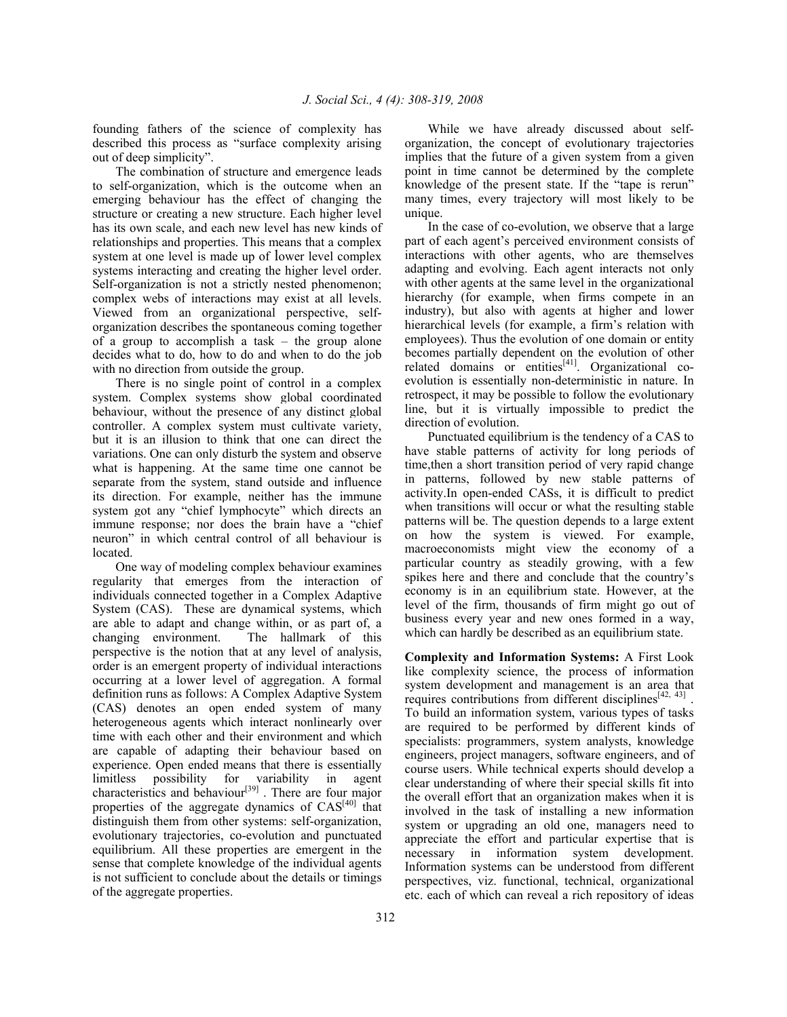founding fathers of the science of complexity has described this process as "surface complexity arising out of deep simplicity".

 The combination of structure and emergence leads to self-organization, which is the outcome when an emerging behaviour has the effect of changing the structure or creating a new structure. Each higher level has its own scale, and each new level has new kinds of relationships and properties. This means that a complex system at one level is made up of lower level complex systems interacting and creating the higher level order. Self-organization is not a strictly nested phenomenon; complex webs of interactions may exist at all levels. Viewed from an organizational perspective, selforganization describes the spontaneous coming together of a group to accomplish a task – the group alone decides what to do, how to do and when to do the job with no direction from outside the group.

 There is no single point of control in a complex system. Complex systems show global coordinated behaviour, without the presence of any distinct global controller. A complex system must cultivate variety, but it is an illusion to think that one can direct the variations. One can only disturb the system and observe what is happening. At the same time one cannot be separate from the system, stand outside and influence its direction. For example, neither has the immune system got any "chief lymphocyte" which directs an immune response; nor does the brain have a "chief neuron" in which central control of all behaviour is located.

 One way of modeling complex behaviour examines regularity that emerges from the interaction of individuals connected together in a Complex Adaptive System (CAS). These are dynamical systems, which are able to adapt and change within, or as part of, a changing environment. The hallmark of this perspective is the notion that at any level of analysis, order is an emergent property of individual interactions occurring at a lower level of aggregation. A formal definition runs as follows: A Complex Adaptive System (CAS) denotes an open ended system of many heterogeneous agents which interact nonlinearly over time with each other and their environment and which are capable of adapting their behaviour based on experience. Open ended means that there is essentially limitless possibility for variability in agent characteristics and behaviour<sup>[39]</sup>. There are four major properties of the aggregate dynamics of CAS<sup>[40]</sup> that distinguish them from other systems: self-organization, evolutionary trajectories, co-evolution and punctuated equilibrium. All these properties are emergent in the sense that complete knowledge of the individual agents is not sufficient to conclude about the details or timings of the aggregate properties.

 While we have already discussed about selforganization, the concept of evolutionary trajectories implies that the future of a given system from a given point in time cannot be determined by the complete knowledge of the present state. If the "tape is rerun" many times, every trajectory will most likely to be unique.

 In the case of co-evolution, we observe that a large part of each agent's perceived environment consists of interactions with other agents, who are themselves adapting and evolving. Each agent interacts not only with other agents at the same level in the organizational hierarchy (for example, when firms compete in an industry), but also with agents at higher and lower hierarchical levels (for example, a firm's relation with employees). Thus the evolution of one domain or entity becomes partially dependent on the evolution of other related domains or entities<sup>[41]</sup>. Organizational coevolution is essentially non-deterministic in nature. In retrospect, it may be possible to follow the evolutionary line, but it is virtually impossible to predict the direction of evolution.

 Punctuated equilibrium is the tendency of a CAS to have stable patterns of activity for long periods of time,then a short transition period of very rapid change in patterns, followed by new stable patterns of activity.In open-ended CASs, it is difficult to predict when transitions will occur or what the resulting stable patterns will be. The question depends to a large extent on how the system is viewed. For example, macroeconomists might view the economy of a particular country as steadily growing, with a few spikes here and there and conclude that the country's economy is in an equilibrium state. However, at the level of the firm, thousands of firm might go out of business every year and new ones formed in a way, which can hardly be described as an equilibrium state.

**Complexity and Information Systems:** A First Look like complexity science, the process of information system development and management is an area that requires contributions from different disciplines<sup> $[42, 43]$ </sup>. To build an information system, various types of tasks are required to be performed by different kinds of specialists: programmers, system analysts, knowledge engineers, project managers, software engineers, and of course users. While technical experts should develop a clear understanding of where their special skills fit into the overall effort that an organization makes when it is involved in the task of installing a new information system or upgrading an old one, managers need to appreciate the effort and particular expertise that is necessary in information system development. Information systems can be understood from different perspectives, viz. functional, technical, organizational etc. each of which can reveal a rich repository of ideas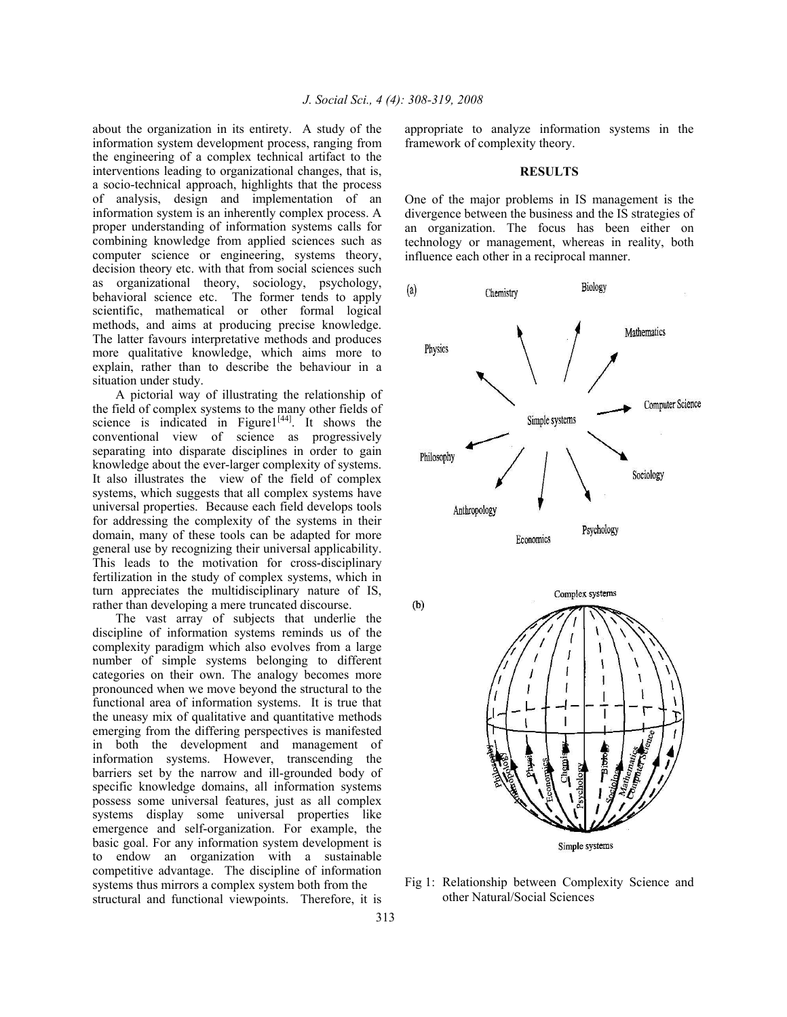about the organization in its entirety. A study of the information system development process, ranging from the engineering of a complex technical artifact to the interventions leading to organizational changes, that is, a socio-technical approach, highlights that the process of analysis, design and implementation of an information system is an inherently complex process. A proper understanding of information systems calls for combining knowledge from applied sciences such as computer science or engineering, systems theory, decision theory etc. with that from social sciences such as organizational theory, sociology, psychology, behavioral science etc. The former tends to apply scientific, mathematical or other formal logical methods, and aims at producing precise knowledge. The latter favours interpretative methods and produces more qualitative knowledge, which aims more to explain, rather than to describe the behaviour in a situation under study.

 A pictorial way of illustrating the relationship of the field of complex systems to the many other fields of science is indicated in Figure<sup>1[44]</sup>. It shows the conventional view of science as progressively separating into disparate disciplines in order to gain knowledge about the ever-larger complexity of systems. It also illustrates the view of the field of complex systems, which suggests that all complex systems have universal properties. Because each field develops tools for addressing the complexity of the systems in their domain, many of these tools can be adapted for more general use by recognizing their universal applicability. This leads to the motivation for cross-disciplinary fertilization in the study of complex systems, which in turn appreciates the multidisciplinary nature of IS, rather than developing a mere truncated discourse.

 The vast array of subjects that underlie the discipline of information systems reminds us of the complexity paradigm which also evolves from a large number of simple systems belonging to different categories on their own. The analogy becomes more pronounced when we move beyond the structural to the functional area of information systems. It is true that the uneasy mix of qualitative and quantitative methods emerging from the differing perspectives is manifested in both the development and management of information systems. However, transcending the barriers set by the narrow and ill-grounded body of specific knowledge domains, all information systems possess some universal features, just as all complex systems display some universal properties like emergence and self-organization. For example, the basic goal. For any information system development is to endow an organization with a sustainable competitive advantage. The discipline of information systems thus mirrors a complex system both from the structural and functional viewpoints. Therefore, it is

appropriate to analyze information systems in the framework of complexity theory.

#### **RESULTS**

One of the major problems in IS management is the divergence between the business and the IS strategies of an organization. The focus has been either on technology or management, whereas in reality, both influence each other in a reciprocal manner.



Fig 1: Relationship between Complexity Science and other Natural/Social Sciences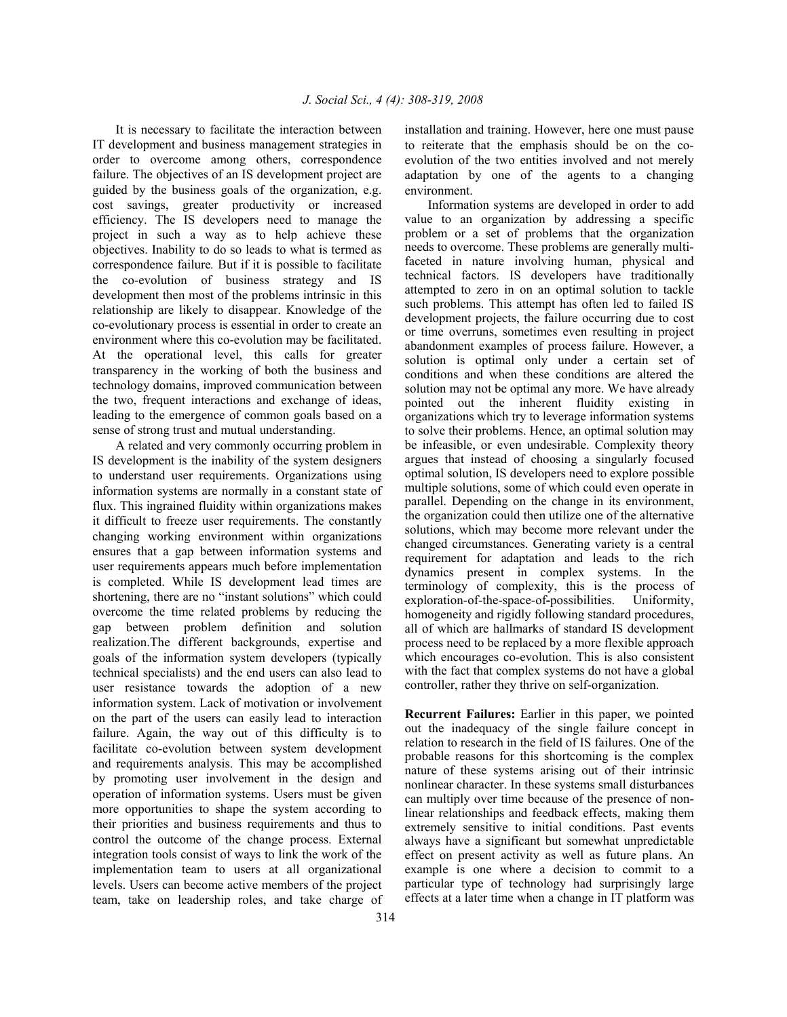It is necessary to facilitate the interaction between IT development and business management strategies in order to overcome among others, correspondence failure. The objectives of an IS development project are guided by the business goals of the organization, e.g. cost savings, greater productivity or increased efficiency. The IS developers need to manage the project in such a way as to help achieve these objectives. Inability to do so leads to what is termed as correspondence failure*.* But if it is possible to facilitate the co-evolution of business strategy and IS development then most of the problems intrinsic in this relationship are likely to disappear. Knowledge of the co-evolutionary process is essential in order to create an environment where this co-evolution may be facilitated. At the operational level, this calls for greater transparency in the working of both the business and technology domains, improved communication between the two, frequent interactions and exchange of ideas, leading to the emergence of common goals based on a sense of strong trust and mutual understanding.

 A related and very commonly occurring problem in IS development is the inability of the system designers to understand user requirements. Organizations using information systems are normally in a constant state of flux. This ingrained fluidity within organizations makes it difficult to freeze user requirements. The constantly changing working environment within organizations ensures that a gap between information systems and user requirements appears much before implementation is completed. While IS development lead times are shortening, there are no "instant solutions" which could overcome the time related problems by reducing the gap between problem definition and solution realization.The different backgrounds, expertise and goals of the information system developers (typically technical specialists) and the end users can also lead to user resistance towards the adoption of a new information system. Lack of motivation or involvement on the part of the users can easily lead to interaction failure. Again, the way out of this difficulty is to facilitate co-evolution between system development and requirements analysis. This may be accomplished by promoting user involvement in the design and operation of information systems. Users must be given more opportunities to shape the system according to their priorities and business requirements and thus to control the outcome of the change process. External integration tools consist of ways to link the work of the implementation team to users at all organizational levels. Users can become active members of the project team, take on leadership roles, and take charge of installation and training. However, here one must pause to reiterate that the emphasis should be on the coevolution of the two entities involved and not merely adaptation by one of the agents to a changing environment.

 Information systems are developed in order to add value to an organization by addressing a specific problem or a set of problems that the organization needs to overcome. These problems are generally multifaceted in nature involving human, physical and technical factors. IS developers have traditionally attempted to zero in on an optimal solution to tackle such problems. This attempt has often led to failed IS development projects, the failure occurring due to cost or time overruns, sometimes even resulting in project abandonment examples of process failure. However, a solution is optimal only under a certain set of conditions and when these conditions are altered the solution may not be optimal any more. We have already pointed out the inherent fluidity existing in organizations which try to leverage information systems to solve their problems. Hence, an optimal solution may be infeasible, or even undesirable. Complexity theory argues that instead of choosing a singularly focused optimal solution, IS developers need to explore possible multiple solutions, some of which could even operate in parallel. Depending on the change in its environment, the organization could then utilize one of the alternative solutions, which may become more relevant under the changed circumstances. Generating variety is a central requirement for adaptation and leads to the rich dynamics present in complex systems. In the terminology of complexity, this is the process of exploration-of-the-space-of**-**possibilities. Uniformity, homogeneity and rigidly following standard procedures, all of which are hallmarks of standard IS development process need to be replaced by a more flexible approach which encourages co-evolution. This is also consistent with the fact that complex systems do not have a global controller, rather they thrive on self-organization.

**Recurrent Failures:** Earlier in this paper, we pointed out the inadequacy of the single failure concept in relation to research in the field of IS failures. One of the probable reasons for this shortcoming is the complex nature of these systems arising out of their intrinsic nonlinear character. In these systems small disturbances can multiply over time because of the presence of nonlinear relationships and feedback effects, making them extremely sensitive to initial conditions. Past events always have a significant but somewhat unpredictable effect on present activity as well as future plans. An example is one where a decision to commit to a particular type of technology had surprisingly large effects at a later time when a change in IT platform was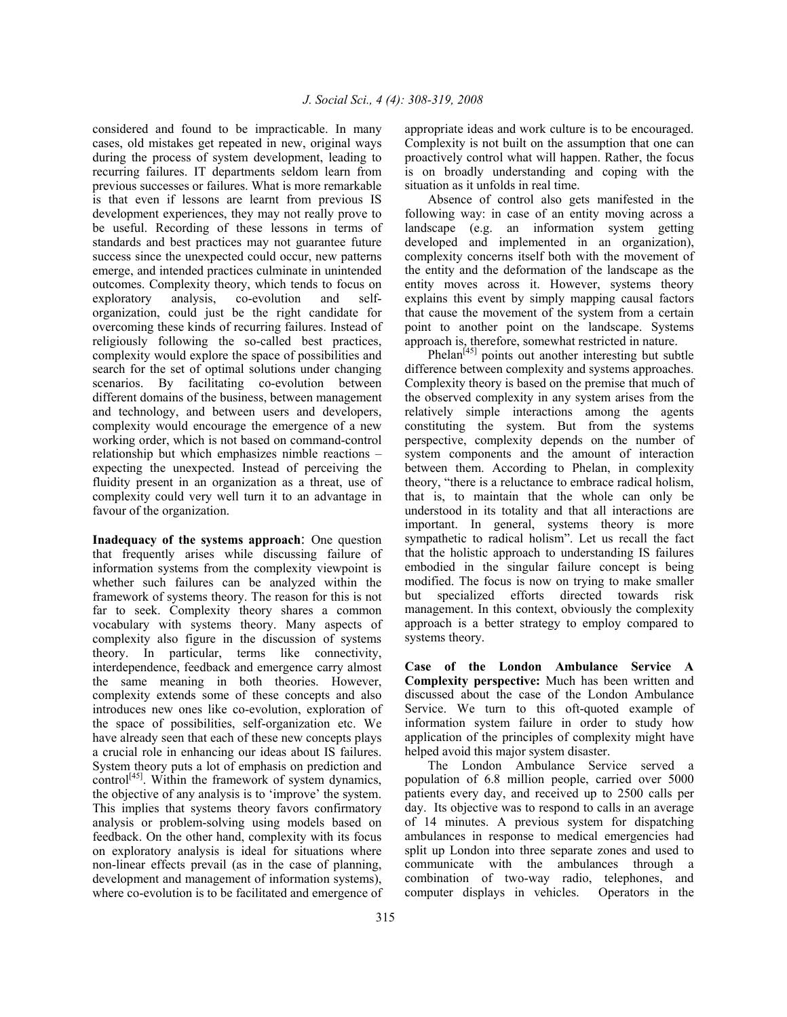considered and found to be impracticable. In many cases, old mistakes get repeated in new, original ways during the process of system development, leading to recurring failures. IT departments seldom learn from previous successes or failures. What is more remarkable is that even if lessons are learnt from previous IS development experiences, they may not really prove to be useful. Recording of these lessons in terms of standards and best practices may not guarantee future success since the unexpected could occur, new patterns emerge, and intended practices culminate in unintended outcomes. Complexity theory, which tends to focus on exploratory analysis, co-evolution and selforganization, could just be the right candidate for overcoming these kinds of recurring failures. Instead of religiously following the so-called best practices, complexity would explore the space of possibilities and search for the set of optimal solutions under changing scenarios. By facilitating co-evolution between different domains of the business, between management and technology, and between users and developers, complexity would encourage the emergence of a new working order, which is not based on command-control relationship but which emphasizes nimble reactions – expecting the unexpected. Instead of perceiving the fluidity present in an organization as a threat, use of complexity could very well turn it to an advantage in favour of the organization.

**Inadequacy of the systems approach**: One question that frequently arises while discussing failure of information systems from the complexity viewpoint is whether such failures can be analyzed within the framework of systems theory. The reason for this is not far to seek. Complexity theory shares a common vocabulary with systems theory. Many aspects of complexity also figure in the discussion of systems theory. In particular, terms like connectivity, interdependence, feedback and emergence carry almost the same meaning in both theories. However, complexity extends some of these concepts and also introduces new ones like co-evolution, exploration of the space of possibilities, self-organization etc. We have already seen that each of these new concepts plays a crucial role in enhancing our ideas about IS failures. System theory puts a lot of emphasis on prediction and control<sup>[45]</sup>. Within the framework of system dynamics, the objective of any analysis is to 'improve' the system. This implies that systems theory favors confirmatory analysis or problem-solving using models based on feedback. On the other hand, complexity with its focus on exploratory analysis is ideal for situations where non-linear effects prevail (as in the case of planning, development and management of information systems), where co-evolution is to be facilitated and emergence of

appropriate ideas and work culture is to be encouraged. Complexity is not built on the assumption that one can proactively control what will happen. Rather, the focus is on broadly understanding and coping with the situation as it unfolds in real time.

 Absence of control also gets manifested in the following way: in case of an entity moving across a landscape (e.g. an information system getting developed and implemented in an organization), complexity concerns itself both with the movement of the entity and the deformation of the landscape as the entity moves across it. However, systems theory explains this event by simply mapping causal factors that cause the movement of the system from a certain point to another point on the landscape. Systems approach is, therefore, somewhat restricted in nature.

Phelan $^{[45]}$  points out another interesting but subtle difference between complexity and systems approaches. Complexity theory is based on the premise that much of the observed complexity in any system arises from the relatively simple interactions among the agents constituting the system. But from the systems perspective, complexity depends on the number of system components and the amount of interaction between them. According to Phelan, in complexity theory, "there is a reluctance to embrace radical holism, that is, to maintain that the whole can only be understood in its totality and that all interactions are important. In general, systems theory is more sympathetic to radical holism". Let us recall the fact that the holistic approach to understanding IS failures embodied in the singular failure concept is being modified. The focus is now on trying to make smaller but specialized efforts directed towards risk management. In this context, obviously the complexity approach is a better strategy to employ compared to systems theory.

**Case of the London Ambulance Service A Complexity perspective:** Much has been written and discussed about the case of the London Ambulance Service. We turn to this oft-quoted example of information system failure in order to study how application of the principles of complexity might have helped avoid this major system disaster.

 The London Ambulance Service served a population of 6.8 million people, carried over 5000 patients every day, and received up to 2500 calls per day. Its objective was to respond to calls in an average of 14 minutes. A previous system for dispatching ambulances in response to medical emergencies had split up London into three separate zones and used to communicate with the ambulances through a combination of two-way radio, telephones, and computer displays in vehicles. Operators in the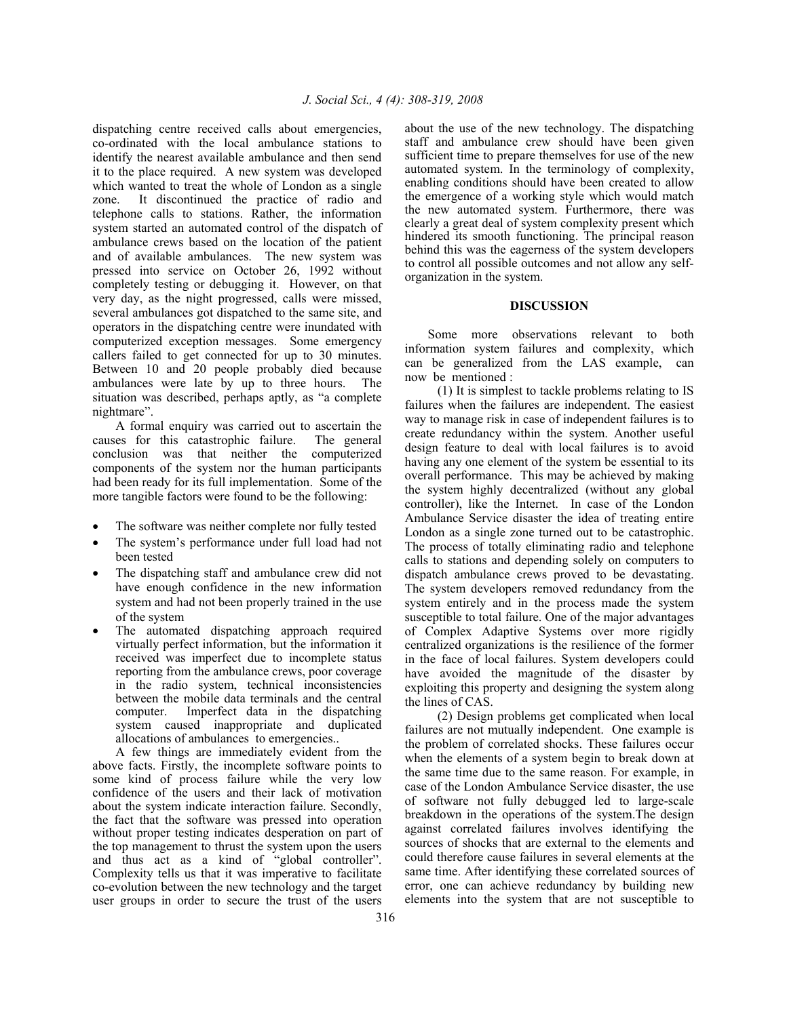dispatching centre received calls about emergencies, co-ordinated with the local ambulance stations to identify the nearest available ambulance and then send it to the place required. A new system was developed which wanted to treat the whole of London as a single zone. It discontinued the practice of radio and telephone calls to stations. Rather, the information system started an automated control of the dispatch of ambulance crews based on the location of the patient and of available ambulances. The new system was pressed into service on October 26, 1992 without completely testing or debugging it. However, on that very day, as the night progressed, calls were missed, several ambulances got dispatched to the same site, and operators in the dispatching centre were inundated with computerized exception messages. Some emergency callers failed to get connected for up to 30 minutes. Between 10 and 20 people probably died because ambulances were late by up to three hours. The situation was described, perhaps aptly, as "a complete nightmare".

 A formal enquiry was carried out to ascertain the causes for this catastrophic failure. The general conclusion was that neither the computerized components of the system nor the human participants had been ready for its full implementation. Some of the more tangible factors were found to be the following:

- The software was neither complete nor fully tested
- The system's performance under full load had not been tested
- The dispatching staff and ambulance crew did not have enough confidence in the new information system and had not been properly trained in the use of the system
- The automated dispatching approach required virtually perfect information, but the information it received was imperfect due to incomplete status reporting from the ambulance crews, poor coverage in the radio system, technical inconsistencies between the mobile data terminals and the central computer. Imperfect data in the dispatching system caused inappropriate and duplicated allocations of ambulances to emergencies..

 A few things are immediately evident from the above facts. Firstly, the incomplete software points to some kind of process failure while the very low confidence of the users and their lack of motivation about the system indicate interaction failure. Secondly, the fact that the software was pressed into operation without proper testing indicates desperation on part of the top management to thrust the system upon the users and thus act as a kind of "global controller". Complexity tells us that it was imperative to facilitate co-evolution between the new technology and the target user groups in order to secure the trust of the users

about the use of the new technology. The dispatching staff and ambulance crew should have been given sufficient time to prepare themselves for use of the new automated system. In the terminology of complexity, enabling conditions should have been created to allow the emergence of a working style which would match the new automated system. Furthermore, there was clearly a great deal of system complexity present which hindered its smooth functioning. The principal reason behind this was the eagerness of the system developers to control all possible outcomes and not allow any selforganization in the system.

### **DISCUSSION**

 Some more observations relevant to both information system failures and complexity, which can be generalized from the LAS example, can now be mentioned :

(1) It is simplest to tackle problems relating to IS failures when the failures are independent. The easiest way to manage risk in case of independent failures is to create redundancy within the system. Another useful design feature to deal with local failures is to avoid having any one element of the system be essential to its overall performance. This may be achieved by making the system highly decentralized (without any global controller), like the Internet. In case of the London Ambulance Service disaster the idea of treating entire London as a single zone turned out to be catastrophic. The process of totally eliminating radio and telephone calls to stations and depending solely on computers to dispatch ambulance crews proved to be devastating. The system developers removed redundancy from the system entirely and in the process made the system susceptible to total failure. One of the major advantages of Complex Adaptive Systems over more rigidly centralized organizations is the resilience of the former in the face of local failures. System developers could have avoided the magnitude of the disaster by exploiting this property and designing the system along the lines of CAS.

 (2) Design problems get complicated when local failures are not mutually independent. One example is the problem of correlated shocks. These failures occur when the elements of a system begin to break down at the same time due to the same reason. For example, in case of the London Ambulance Service disaster, the use of software not fully debugged led to large-scale breakdown in the operations of the system.The design against correlated failures involves identifying the sources of shocks that are external to the elements and could therefore cause failures in several elements at the same time. After identifying these correlated sources of error, one can achieve redundancy by building new elements into the system that are not susceptible to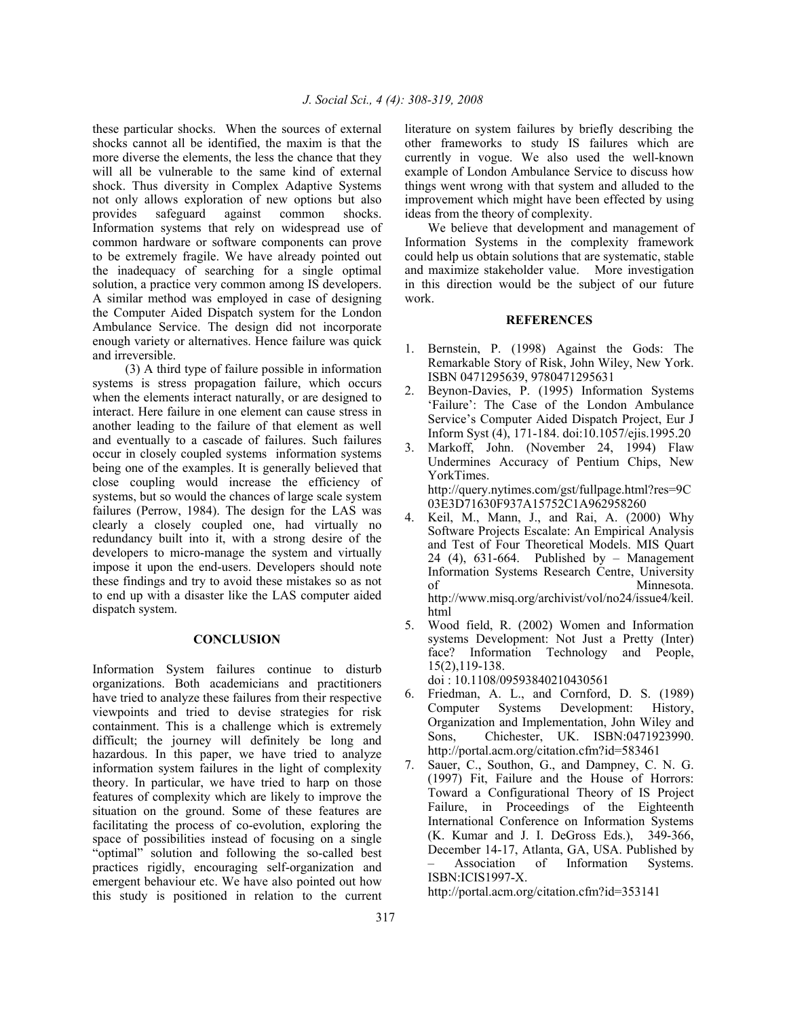these particular shocks. When the sources of external shocks cannot all be identified, the maxim is that the more diverse the elements, the less the chance that they will all be vulnerable to the same kind of external shock. Thus diversity in Complex Adaptive Systems not only allows exploration of new options but also provides safeguard against common shocks. Information systems that rely on widespread use of common hardware or software components can prove to be extremely fragile. We have already pointed out the inadequacy of searching for a single optimal solution, a practice very common among IS developers. A similar method was employed in case of designing the Computer Aided Dispatch system for the London Ambulance Service. The design did not incorporate enough variety or alternatives. Hence failure was quick and irreversible.

 (3) A third type of failure possible in information systems is stress propagation failure, which occurs when the elements interact naturally, or are designed to interact. Here failure in one element can cause stress in another leading to the failure of that element as well and eventually to a cascade of failures. Such failures occur in closely coupled systems information systems being one of the examples. It is generally believed that close coupling would increase the efficiency of systems, but so would the chances of large scale system failures (Perrow, 1984). The design for the LAS was clearly a closely coupled one, had virtually no redundancy built into it, with a strong desire of the developers to micro-manage the system and virtually impose it upon the end-users. Developers should note these findings and try to avoid these mistakes so as not to end up with a disaster like the LAS computer aided dispatch system.

#### **CONCLUSION**

Information System failures continue to disturb organizations. Both academicians and practitioners have tried to analyze these failures from their respective viewpoints and tried to devise strategies for risk containment. This is a challenge which is extremely difficult; the journey will definitely be long and hazardous. In this paper, we have tried to analyze information system failures in the light of complexity theory. In particular, we have tried to harp on those features of complexity which are likely to improve the situation on the ground. Some of these features are facilitating the process of co-evolution, exploring the space of possibilities instead of focusing on a single "optimal" solution and following the so-called best practices rigidly, encouraging self-organization and emergent behaviour etc. We have also pointed out how this study is positioned in relation to the current

literature on system failures by briefly describing the other frameworks to study IS failures which are currently in vogue. We also used the well-known example of London Ambulance Service to discuss how things went wrong with that system and alluded to the improvement which might have been effected by using ideas from the theory of complexity.

 We believe that development and management of Information Systems in the complexity framework could help us obtain solutions that are systematic, stable and maximize stakeholder value. More investigation in this direction would be the subject of our future work.

### **REFERENCES**

- 1. Bernstein, P. (1998) Against the Gods: The Remarkable Story of Risk, John Wiley, New York. ISBN 0471295639, 9780471295631
- 2. Beynon-Davies, P. (1995) Information Systems 'Failure': The Case of the London Ambulance Service's Computer Aided Dispatch Project, Eur J Inform Syst (4), 171-184. doi:10.1057/ejis.1995.20
- 3. Markoff, John. (November 24, 1994) Flaw Undermines Accuracy of Pentium Chips, New YorkTimes. http://query.nytimes.com/gst/fullpage.html?res=9C 03E3D71630F937A15752C1A962958260
- 4. Keil, M., Mann, J., and Rai, A. (2000) Why Software Projects Escalate: An Empirical Analysis and Test of Four Theoretical Models. MIS Quart 24 (4), 631-664. Published by – Management Information Systems Research Centre, University of Minnesota. http://www.misq.org/archivist/vol/no24/issue4/keil. html
- 5. Wood field, R. (2002) Women and Information systems Development: Not Just a Pretty (Inter) face? Information Technology and People, 15(2),119-138. doi : 10.1108/09593840210430561

6. Friedman, A. L., and Cornford, D. S. (1989) Computer Systems Development: History, Organization and Implementation, John Wiley and Sons, Chichester, UK. ISBN:0471923990. http://portal.acm.org/citation.cfm?id=583461

7. Sauer, C., Southon, G., and Dampney, C. N. G. (1997) Fit, Failure and the House of Horrors: Toward a Configurational Theory of IS Project Failure, in Proceedings of the Eighteenth International Conference on Information Systems (K. Kumar and J. I. DeGross Eds.), 349-366, December 14-17, Atlanta, GA, USA. Published by – Association of Information Systems. ISBN:ICIS1997-X.

http://portal.acm.org/citation.cfm?id=353141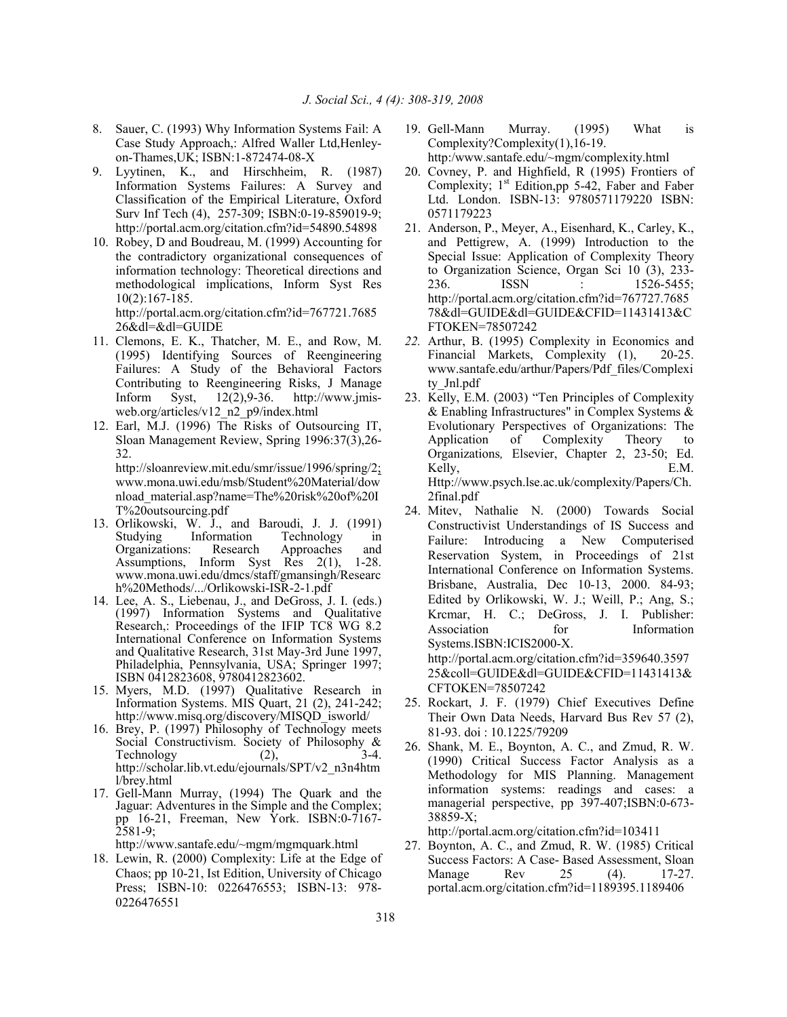- 8. Sauer, C. (1993) Why Information Systems Fail: A Case Study Approach,: Alfred Waller Ltd,Henleyon-Thames,UK; ISBN:1-872474-08-X
- 9. Lyytinen, K., and Hirschheim, R. (1987) Information Systems Failures: A Survey and Classification of the Empirical Literature, Oxford Surv Inf Tech (4), 257-309; ISBN:0-19-859019-9; http://portal.acm.org/citation.cfm?id=54890.54898
- 10. Robey, D and Boudreau, M. (1999) Accounting for the contradictory organizational consequences of information technology: Theoretical directions and methodological implications, Inform Syst Res 10(2):167-185. http://portal.acm.org/citation.cfm?id=767721.7685

26&dl=&dl=GUIDE

- 11. Clemons, E. K., Thatcher, M. E., and Row, M. (1995) Identifying Sources of Reengineering Failures: A Study of the Behavioral Factors Contributing to Reengineering Risks, J Manage Inform Syst, 12(2),9-36. http://www.jmisweb.org/articles/v12\_n2\_p9/index.html
- 12. Earl, M.J. (1996) The Risks of Outsourcing IT, Sloan Management Review, Spring 1996:37(3),26- 32. http://sloanreview.mit.edu/smr/issue/1996/spring/2; www.mona.uwi.edu/msb/Student%20Material/dow nload\_material.asp?name=The%20risk%20of%20I T%20outsourcing.pdf
- 13. Orlikowski, W. J., and Baroudi, J. J. (1991) Studying Information Technology in Organizations: Research Approaches and Assumptions, Inform Syst Res 2(1), 1-28. www.mona.uwi.edu/dmcs/staff/gmansingh/Researc h%20Methods/.../Orlikowski-ISR-2-1.pdf
- 14. Lee, A. S., Liebenau, J., and DeGross, J. I. (eds.) (1997) Information Systems and Qualitative Research,: Proceedings of the IFIP TC8 WG 8.2 International Conference on Information Systems and Qualitative Research, 31st May-3rd June 1997, Philadelphia, Pennsylvania, USA; Springer 1997; ISBN 0412823608, 9780412823602.
- 15. Myers, M.D. (1997) Qualitative Research in Information Systems. MIS Quart, 21 (2), 241-242; http://www.misq.org/discovery/MISQD\_isworld/
- 16. Brey, P. (1997) Philosophy of Technology meets Social Constructivism. Society of Philosophy & Technology  $(2)$ ,  $3-4$ . http://scholar.lib.vt.edu/ejournals/SPT/v2\_n3n4htm l/brey.html
- 17. Gell-Mann Murray, (1994) The Quark and the Jaguar: Adventures in the Simple and the Complex; pp 16-21, Freeman, New York. ISBN:0-7167- 2581-9;

http://www.santafe.edu/~mgm/mgmquark.html

18. Lewin, R. (2000) Complexity: Life at the Edge of Chaos; pp 10-21, Ist Edition, University of Chicago Press; ISBN-10: 0226476553; ISBN-13: 978-0226476551

- 19. Gell-Mann Murray. (1995) What is Complexity?Complexity(1),16-19. http:/www.santafe.edu/~mgm/complexity.html
- 20. Covney, P. and Highfield, R (1995) Frontiers of Complexity;  $1<sup>st</sup>$  Edition,pp 5-42, Faber and Faber Ltd. London. ISBN-13: 9780571179220 ISBN: 0571179223
- 21. Anderson, P., Meyer, A., Eisenhard, K., Carley, K., and Pettigrew, A. (1999) Introduction to the Special Issue: Application of Complexity Theory to Organization Science, Organ Sci 10 (3), 233- 236. **ISSN** : 1526-5455: http://portal.acm.org/citation.cfm?id=767727.7685 78&dl=GUIDE&dl=GUIDE&CFID=11431413&C FTOKEN=78507242
- *22.* Arthur, B. (1995) Complexity in Economics and Financial Markets, Complexity (1), 20-25. www.santafe.edu/arthur/Papers/Pdf\_files/Complexi ty\_Jnl.pdf
- 23. Kelly, E.M. (2003) "Ten Principles of Complexity & Enabling Infrastructures" in Complex Systems & Evolutionary Perspectives of Organizations: The Application of Complexity Theory to Organizations*,* Elsevier, Chapter 2, 23-50; Ed. Kelly, E.M. Http://www.psych.lse.ac.uk/complexity/Papers/Ch. 2final.pdf
- 24. Mitev, Nathalie N. (2000) Towards Social Constructivist Understandings of IS Success and Failure: Introducing a New Computerised Reservation System, in Proceedings of 21st International Conference on Information Systems. Brisbane, Australia, Dec 10-13, 2000. 84-93; Edited by Orlikowski, W. J.; Weill, P.; Ang, S.; Krcmar, H. C.; DeGross, J. I. Publisher: Association for Information Systems.ISBN:ICIS2000-X. http://portal.acm.org/citation.cfm?id=359640.3597 25&coll=GUIDE&dl=GUIDE&CFID=11431413& CFTOKEN=78507242
- 25. Rockart, J. F. (1979) Chief Executives Define Their Own Data Needs, Harvard Bus Rev 57 (2), 81-93. doi : 10.1225/79209
- 26. Shank, M. E., Boynton, A. C., and Zmud, R. W. (1990) Critical Success Factor Analysis as a Methodology for MIS Planning. Management information systems: readings and cases: a managerial perspective, pp 397-407;ISBN:0-673- 38859-X;

http://portal.acm.org/citation.cfm?id=103411

27. Boynton, A. C., and Zmud, R. W. (1985) Critical Success Factors: A Case- Based Assessment, Sloan Manage Rev 25 (4). 17-27. portal.acm.org/citation.cfm?id=1189395.1189406